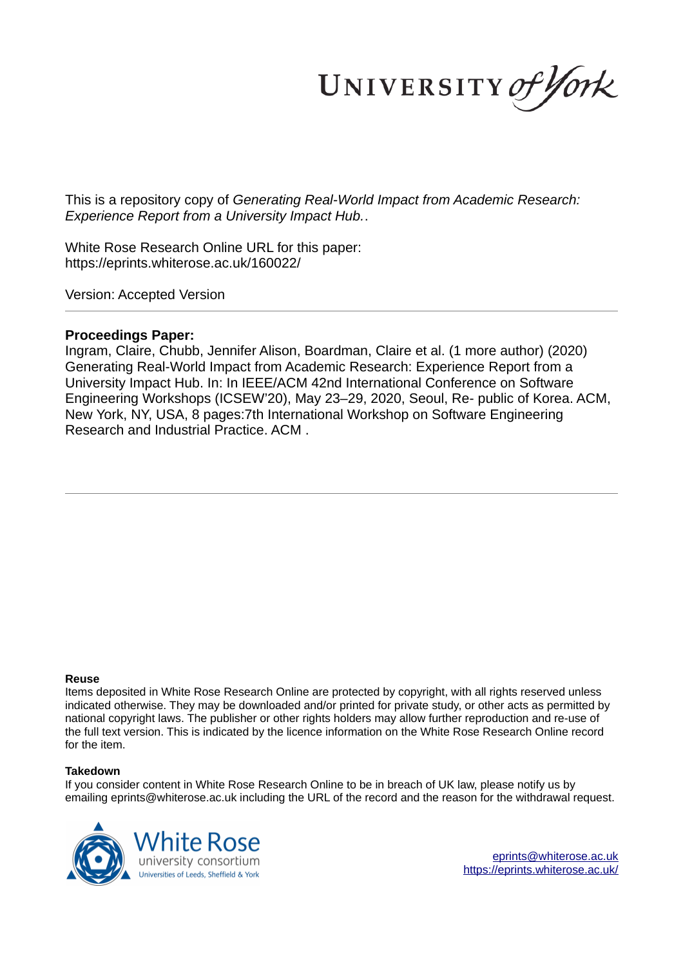UNIVERSITY of York

This is a repository copy of *Generating Real-World Impact from Academic Research: Experience Report from a University Impact Hub.*.

White Rose Research Online URL for this paper: https://eprints.whiterose.ac.uk/160022/

Version: Accepted Version

## **Proceedings Paper:**

Ingram, Claire, Chubb, Jennifer Alison, Boardman, Claire et al. (1 more author) (2020) Generating Real-World Impact from Academic Research: Experience Report from a University Impact Hub. In: In IEEE/ACM 42nd International Conference on Software Engineering Workshops (ICSEW'20), May 23–29, 2020, Seoul, Re- public of Korea. ACM, New York, NY, USA, 8 pages:7th International Workshop on Software Engineering Research and Industrial Practice. ACM .

#### **Reuse**

Items deposited in White Rose Research Online are protected by copyright, with all rights reserved unless indicated otherwise. They may be downloaded and/or printed for private study, or other acts as permitted by national copyright laws. The publisher or other rights holders may allow further reproduction and re-use of the full text version. This is indicated by the licence information on the White Rose Research Online record for the item.

## **Takedown**

If you consider content in White Rose Research Online to be in breach of UK law, please notify us by emailing eprints@whiterose.ac.uk including the URL of the record and the reason for the withdrawal request.



eprints@whiterose.ac.uk https://eprints.whiterose.ac.uk/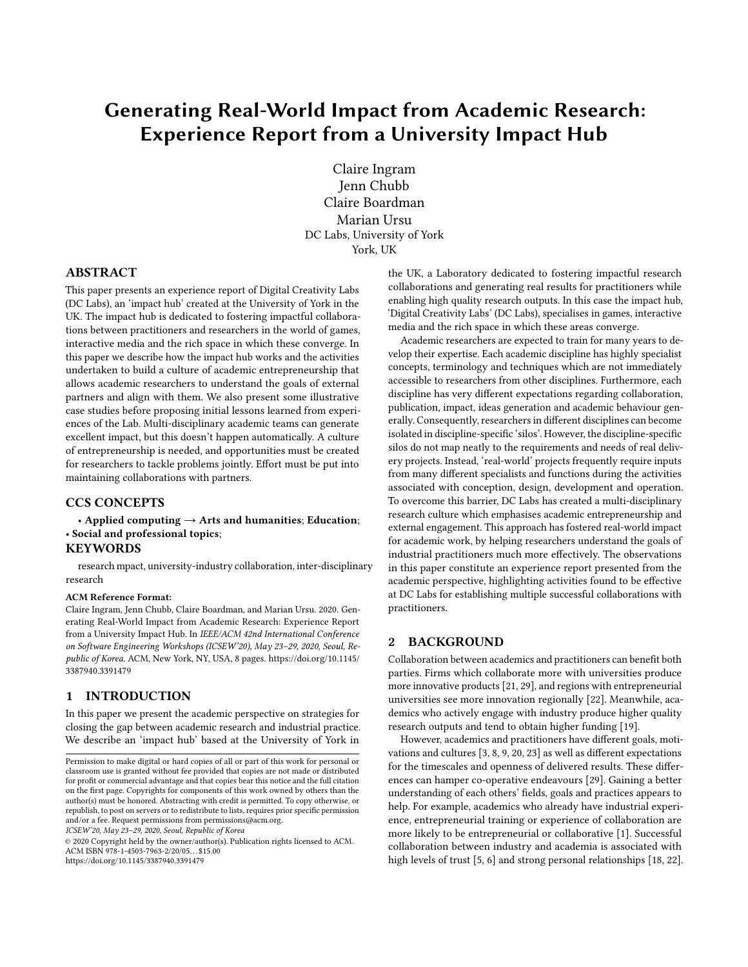# Generating Real-World Impact from Academic Research: Experience Report from a University Impact Hub

Claire Ingram Jenn Chubb Claire Boardman Marian Ursu DC Labs, University of York York, UK

## ABSTRACT

This paper presents an experience report of Digital Creativity Labs (DC Labs), an 'impact hub' created at the University of York in the UK. The impact hub is dedicated to fostering impactful collaborations between practitioners and researchers in the world of games, interactive media and the rich space in which these converge. In this paper we describe how the impact hub works and the activities undertaken to build a culture of academic entrepreneurship that allows academic researchers to understand the goals of external partners and align with them. We also present some illustrative case studies before proposing initial lessons learned from experiences of the Lab. Multi-disciplinary academic teams can generate excellent impact, but this doesn't happen automatically. A culture of entrepreneurship is needed, and opportunities must be created for researchers to tackle problems jointly. Effort must be put into maintaining collaborations with partners.

#### CCS CONCEPTS

#### • Applied computing  $\rightarrow$  Arts and humanities; Education; · Social and professional topics; **KEYWORDS**

research mpact, university-industry collaboration, inter-disciplinary research

#### ACM Reference Format:

Claire Ingram, Jenn Chubb, Claire Boardman, and Marian Ursu. 2020. Generating Real-World Impact from Academic Research: Experience Report from a University Impact Hub. In IEEE/ACM 42nd International Conference on Software Engineering Workshops (ICSEW'20), May 23-29, 2020, Seoul, Republic of Korea. ACM, New York, NY, USA, 8 pages. https://doi.org/10.1145/ 3387940.3391479

#### 1 INTRODUCTION

In this paper we present the academic perspective on strategies for closing the gap between academic research and industrial practice. We describe an 'impact hub' based at the University of York in

ICSEW'20, May 23-29, 2020, Seoul, Republic of Korea

© 2020 Copyright held by the owner/author(s). Publication rights licensed to ACM. ACM ISBN 978-1-4503-7963-2/20/05. . . \$15.00 https://doi.org/10.1145/3387940.3391479

the UK, a Laboratory dedicated to fostering impactful research collaborations and generating real results for practitioners while enabling high quality research outputs. In this case the impact hub, 'Digital Creativity Labs' (DC Labs), specialises in games, interactive media and the rich space in which these areas converge.

Academic researchers are expected to train for many years to develop their expertise. Each academic discipline has highly specialist concepts, terminology and techniques which are not immediately accessible to researchers from other disciplines. Furthermore, each discipline has very different expectations regarding collaboration, publication, impact, ideas generation and academic behaviour generally. Consequently, researchers in different disciplines can become isolated in discipline-specific 'silos'. However, the discipline-specific silos do not map neatly to the requirements and needs of real delivery projects. Instead, 'real-world' projects frequently require inputs from many different specialists and functions during the activities associated with conception, design, development and operation. To overcome this barrier, DC Labs has created a multi-disciplinary research culture which emphasises academic entrepreneurship and external engagement. This approach has fostered real-world impact for academic work, by helping researchers understand the goals of industrial practitioners much more effectively. The observations in this paper constitute an experience report presented from the academic perspective, highlighting activities found to be effective at DC Labs for establishing multiple successful collaborations with practitioners.

#### 2 BACKGROUND

Collaboration between academics and practitioners can benefit both parties. Firms which collaborate more with universities produce more innovative products [21, 29], and regions with entrepreneurial universities see more innovation regionally [22]. Meanwhile, academics who actively engage with industry produce higher quality research outputs and tend to obtain higher funding [19].

However, academics and practitioners have different goals, motivations and cultures [3, 8, 9, 20, 23] as well as different expectations for the timescales and openness of delivered results. These differences can hamper co-operative endeavours [29]. Gaining a better understanding of each others' fields, goals and practices appears to help. For example, academics who already have industrial experience, entrepreneurial training or experience of collaboration are more likely to be entrepreneurial or collaborative [1]. Successful collaboration between industry and academia is associated with high levels of trust [5, 6] and strong personal relationships [18, 22].

Permission to make digital or hard copies of all or part of this work for personal or classroom use is granted without fee provided that copies are not made or distributed for profit or commercial advantage and that copies bear this notice and the full citation on the first page. Copyrights for components of this work owned by others than the author(s) must be honored. Abstracting with credit is permitted. To copy otherwise, or republish, to post on servers or to redistribute to lists, requires prior specific permission and/or a fee. Request permissions from permissions@acm.org.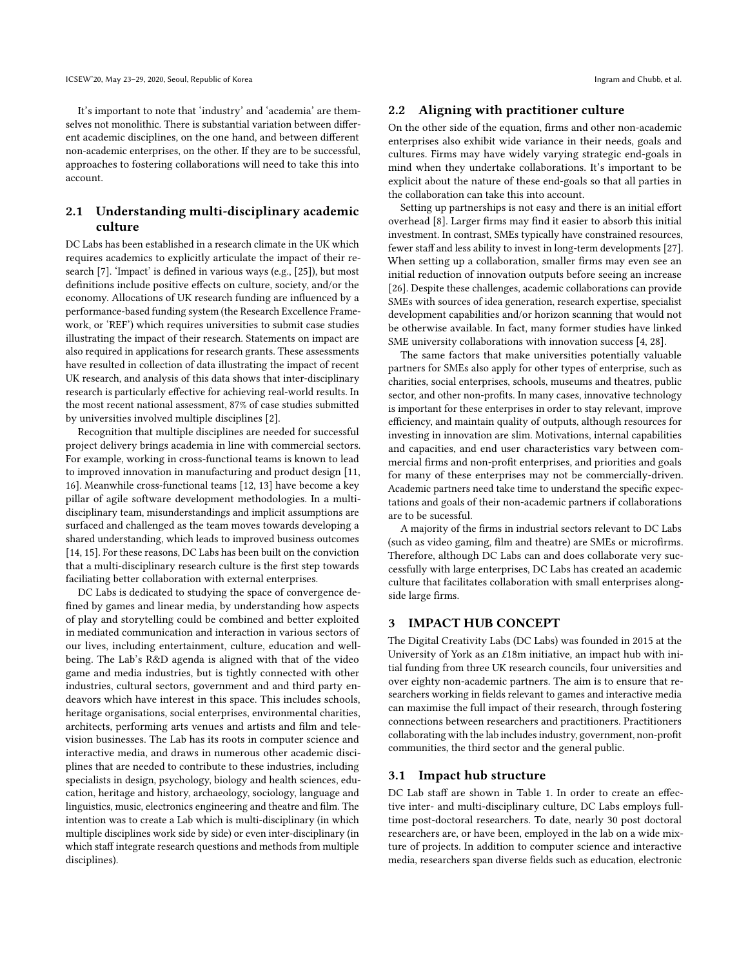It's important to note that 'industry' and 'academia' are themselves not monolithic. There is substantial variation between different academic disciplines, on the one hand, and between different non-academic enterprises, on the other. If they are to be successful, approaches to fostering collaborations will need to take this into account.

## 2.1 Understanding multi-disciplinary academic culture

DC Labs has been established in a research climate in the UK which requires academics to explicitly articulate the impact of their research [7]. 'Impact' is defined in various ways (e.g., [25]), but most definitions include positive effects on culture, society, and/or the economy. Allocations of UK research funding are influenced by a performance-based funding system (the Research Excellence Framework, or 'REF') which requires universities to submit case studies illustrating the impact of their research. Statements on impact are also required in applications for research grants. These assessments have resulted in collection of data illustrating the impact of recent UK research, and analysis of this data shows that inter-disciplinary research is particularly effective for achieving real-world results. In the most recent national assessment, 87% of case studies submitted by universities involved multiple disciplines [2].

Recognition that multiple disciplines are needed for successful project delivery brings academia in line with commercial sectors. For example, working in cross-functional teams is known to lead to improved innovation in manufacturing and product design [11, 16]. Meanwhile cross-functional teams [12, 13] have become a key pillar of agile software development methodologies. In a multidisciplinary team, misunderstandings and implicit assumptions are surfaced and challenged as the team moves towards developing a shared understanding, which leads to improved business outcomes [14, 15]. For these reasons, DC Labs has been built on the conviction that a multi-disciplinary research culture is the first step towards faciliating better collaboration with external enterprises.

DC Labs is dedicated to studying the space of convergence defined by games and linear media, by understanding how aspects of play and storytelling could be combined and better exploited in mediated communication and interaction in various sectors of our lives, including entertainment, culture, education and wellbeing. The Lab's R&D agenda is aligned with that of the video game and media industries, but is tightly connected with other industries, cultural sectors, government and and third party endeavors which have interest in this space. This includes schools, heritage organisations, social enterprises, environmental charities, architects, performing arts venues and artists and film and television businesses. The Lab has its roots in computer science and interactive media, and draws in numerous other academic disciplines that are needed to contribute to these industries, including specialists in design, psychology, biology and health sciences, education, heritage and history, archaeology, sociology, language and linguistics, music, electronics engineering and theatre and film. The intention was to create a Lab which is multi-disciplinary (in which multiple disciplines work side by side) or even inter-disciplinary (in which staff integrate research questions and methods from multiple disciplines).

#### 2.2 Aligning with practitioner culture

On the other side of the equation, firms and other non-academic enterprises also exhibit wide variance in their needs, goals and cultures. Firms may have widely varying strategic end-goals in mind when they undertake collaborations. It's important to be explicit about the nature of these end-goals so that all parties in the collaboration can take this into account.

Setting up partnerships is not easy and there is an initial effort overhead [8]. Larger firms may find it easier to absorb this initial investment. In contrast, SMEs typically have constrained resources, fewer staff and less ability to invest in long-term developments [27]. When setting up a collaboration, smaller firms may even see an initial reduction of innovation outputs before seeing an increase [26]. Despite these challenges, academic collaborations can provide SMEs with sources of idea generation, research expertise, specialist development capabilities and/or horizon scanning that would not be otherwise available. In fact, many former studies have linked SME university collaborations with innovation success [4, 28].

The same factors that make universities potentially valuable partners for SMEs also apply for other types of enterprise, such as charities, social enterprises, schools, museums and theatres, public sector, and other non-profits. In many cases, innovative technology is important for these enterprises in order to stay relevant, improve efficiency, and maintain quality of outputs, although resources for investing in innovation are slim. Motivations, internal capabilities and capacities, and end user characteristics vary between commercial firms and non-profit enterprises, and priorities and goals for many of these enterprises may not be commercially-driven. Academic partners need take time to understand the specific expectations and goals of their non-academic partners if collaborations are to be sucessful.

A majority of the firms in industrial sectors relevant to DC Labs (such as video gaming, film and theatre) are SMEs or microfirms. Therefore, although DC Labs can and does collaborate very successfully with large enterprises, DC Labs has created an academic culture that facilitates collaboration with small enterprises alongside large firms.

## 3 IMPACT HUB CONCEPT

The Digital Creativity Labs (DC Labs) was founded in 2015 at the University of York as an £18m initiative, an impact hub with initial funding from three UK research councils, four universities and over eighty non-academic partners. The aim is to ensure that researchers working in fields relevant to games and interactive media can maximise the full impact of their research, through fostering connections between researchers and practitioners. Practitioners collaborating with the lab includes industry, government, non-profit communities, the third sector and the general public.

#### 3.1 Impact hub structure

DC Lab staff are shown in Table 1. In order to create an effective inter- and multi-disciplinary culture, DC Labs employs fulltime post-doctoral researchers. To date, nearly 30 post doctoral researchers are, or have been, employed in the lab on a wide mixture of projects. In addition to computer science and interactive media, researchers span diverse fields such as education, electronic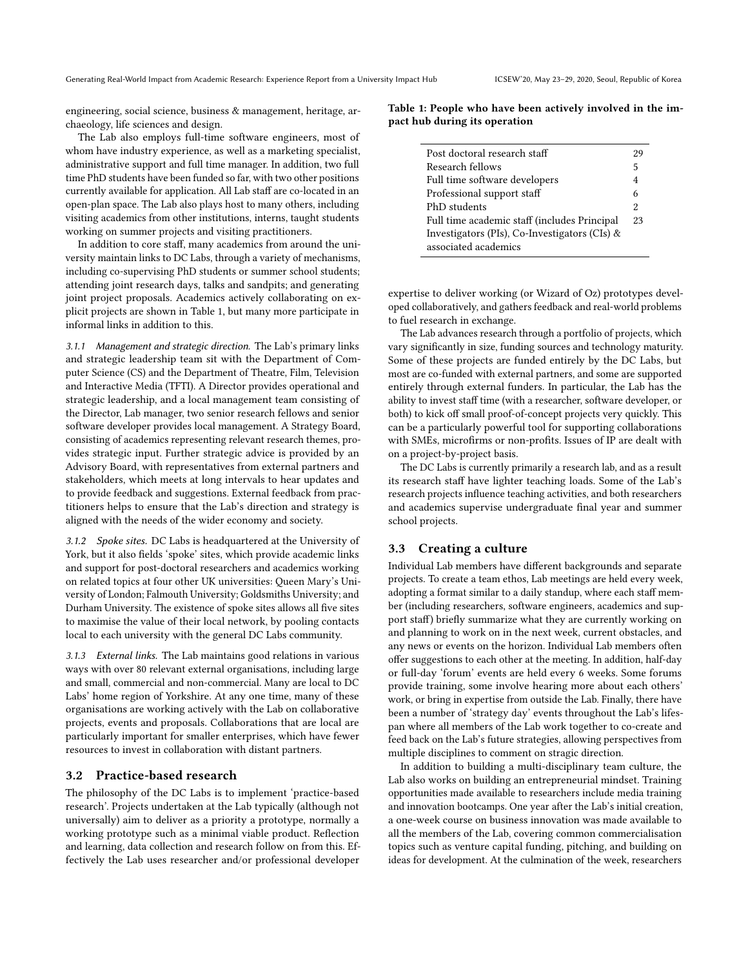engineering, social science, business & management, heritage, archaeology, life sciences and design.

The Lab also employs full-time software engineers, most of whom have industry experience, as well as a marketing specialist, administrative support and full time manager. In addition, two full time PhD students have been funded so far, with two other positions currently available for application. All Lab staff are co-located in an open-plan space. The Lab also plays host to many others, including visiting academics from other institutions, interns, taught students working on summer projects and visiting practitioners.

In addition to core staff, many academics from around the university maintain links to DC Labs, through a variety of mechanisms, including co-supervising PhD students or summer school students; attending joint research days, talks and sandpits; and generating joint project proposals. Academics actively collaborating on explicit projects are shown in Table 1, but many more participate in informal links in addition to this.

3.1.1 Management and strategic direction. The Lab's primary links and strategic leadership team sit with the Department of Computer Science (CS) and the Department of Theatre, Film, Television and Interactive Media (TFTI). A Director provides operational and strategic leadership, and a local management team consisting of the Director, Lab manager, two senior research fellows and senior software developer provides local management. A Strategy Board, consisting of academics representing relevant research themes, provides strategic input. Further strategic advice is provided by an Advisory Board, with representatives from external partners and stakeholders, which meets at long intervals to hear updates and to provide feedback and suggestions. External feedback from practitioners helps to ensure that the Lab's direction and strategy is aligned with the needs of the wider economy and society.

3.1.2 Spoke sites. DC Labs is headquartered at the University of York, but it also fields 'spoke' sites, which provide academic links and support for post-doctoral researchers and academics working on related topics at four other UK universities: Queen Mary's University of London; Falmouth University; Goldsmiths University; and Durham University. The existence of spoke sites allows all five sites to maximise the value of their local network, by pooling contacts local to each university with the general DC Labs community.

3.1.3 External links. The Lab maintains good relations in various ways with over 80 relevant external organisations, including large and small, commercial and non-commercial. Many are local to DC Labs' home region of Yorkshire. At any one time, many of these organisations are working actively with the Lab on collaborative projects, events and proposals. Collaborations that are local are particularly important for smaller enterprises, which have fewer resources to invest in collaboration with distant partners.

#### 3.2 Practice-based research

The philosophy of the DC Labs is to implement 'practice-based research'. Projects undertaken at the Lab typically (although not universally) aim to deliver as a priority a prototype, normally a working prototype such as a minimal viable product. Reflection and learning, data collection and research follow on from this. Effectively the Lab uses researcher and/or professional developer

Table 1: People who have been actively involved in the impact hub during its operation

| Post doctoral research staff                  | 29 |
|-----------------------------------------------|----|
| Research fellows                              | 5  |
| Full time software developers                 | 4  |
| Professional support staff                    | 6  |
| PhD students                                  | 2  |
| Full time academic staff (includes Principal  | 23 |
| Investigators (PIs), Co-Investigators (CIs) & |    |
| associated academics                          |    |
|                                               |    |

expertise to deliver working (or Wizard of Oz) prototypes developed collaboratively, and gathers feedback and real-world problems to fuel research in exchange.

The Lab advances research through a portfolio of projects, which vary significantly in size, funding sources and technology maturity. Some of these projects are funded entirely by the DC Labs, but most are co-funded with external partners, and some are supported entirely through external funders. In particular, the Lab has the ability to invest staff time (with a researcher, software developer, or both) to kick off small proof-of-concept projects very quickly. This can be a particularly powerful tool for supporting collaborations with SMEs, microfirms or non-profits. Issues of IP are dealt with on a project-by-project basis.

The DC Labs is currently primarily a research lab, and as a result its research staff have lighter teaching loads. Some of the Lab's research projects influence teaching activities, and both researchers and academics supervise undergraduate final year and summer school projects.

#### 3.3 Creating a culture

Individual Lab members have different backgrounds and separate projects. To create a team ethos, Lab meetings are held every week, adopting a format similar to a daily standup, where each staff member (including researchers, software engineers, academics and support staff) briefly summarize what they are currently working on and planning to work on in the next week, current obstacles, and any news or events on the horizon. Individual Lab members often offer suggestions to each other at the meeting. In addition, half-day or full-day 'forum' events are held every 6 weeks. Some forums provide training, some involve hearing more about each others' work, or bring in expertise from outside the Lab. Finally, there have been a number of 'strategy day' events throughout the Lab's lifespan where all members of the Lab work together to co-create and feed back on the Lab's future strategies, allowing perspectives from multiple disciplines to comment on stragic direction.

In addition to building a multi-disciplinary team culture, the Lab also works on building an entrepreneurial mindset. Training opportunities made available to researchers include media training and innovation bootcamps. One year after the Lab's initial creation, a one-week course on business innovation was made available to all the members of the Lab, covering common commercialisation topics such as venture capital funding, pitching, and building on ideas for development. At the culmination of the week, researchers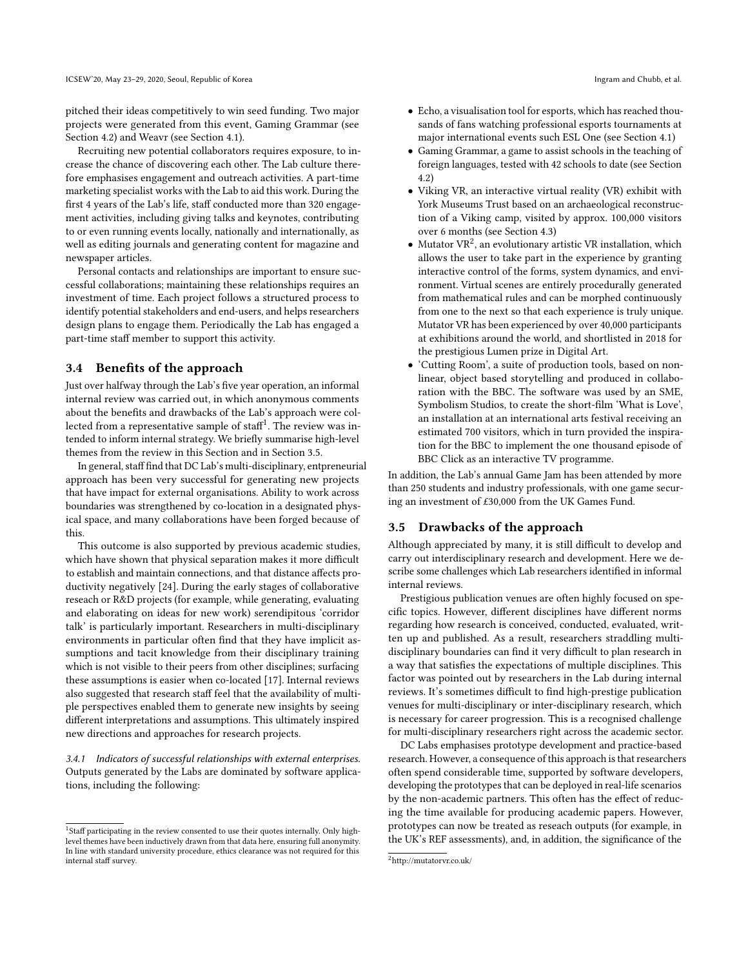pitched their ideas competitively to win seed funding. Two major projects were generated from this event, Gaming Grammar (see Section 4.2) and Weavr (see Section 4.1).

Recruiting new potential collaborators requires exposure, to increase the chance of discovering each other. The Lab culture therefore emphasises engagement and outreach activities. A part-time marketing specialist works with the Lab to aid this work. During the first 4 years of the Lab's life, staff conducted more than 320 engagement activities, including giving talks and keynotes, contributing to or even running events locally, nationally and internationally, as well as editing journals and generating content for magazine and newspaper articles.

Personal contacts and relationships are important to ensure successful collaborations; maintaining these relationships requires an investment of time. Each project follows a structured process to identify potential stakeholders and end-users, and helps researchers design plans to engage them. Periodically the Lab has engaged a part-time staff member to support this activity.

## 3.4 Benefits of the approach

Just over halfway through the Lab's five year operation, an informal internal review was carried out, in which anonymous comments about the benefits and drawbacks of the Lab's approach were collected from a representative sample of staff<sup>1</sup>. The review was intended to inform internal strategy. We briefly summarise high-level themes from the review in this Section and in Section 3.5.

In general, staff find that DC Lab's multi-disciplinary, entpreneurial approach has been very successful for generating new projects that have impact for external organisations. Ability to work across boundaries was strengthened by co-location in a designated physical space, and many collaborations have been forged because of this.

This outcome is also supported by previous academic studies, which have shown that physical separation makes it more difficult to establish and maintain connections, and that distance affects productivity negatively [24]. During the early stages of collaborative reseach or R&D projects (for example, while generating, evaluating and elaborating on ideas for new work) serendipitous 'corridor talk' is particularly important. Researchers in multi-disciplinary environments in particular often find that they have implicit assumptions and tacit knowledge from their disciplinary training which is not visible to their peers from other disciplines; surfacing these assumptions is easier when co-located [17]. Internal reviews also suggested that research staff feel that the availability of multiple perspectives enabled them to generate new insights by seeing different interpretations and assumptions. This ultimately inspired new directions and approaches for research projects.

3.4.1 Indicators of successful relationships with external enterprises. Outputs generated by the Labs are dominated by software applications, including the following:

- Echo, a visualisation tool for esports, which has reached thousands of fans watching professional esports tournaments at major international events such ESL One (see Section 4.1)
- Gaming Grammar, a game to assist schools in the teaching of foreign languages, tested with 42 schools to date (see Section 4.2)
- Viking VR, an interactive virtual reality (VR) exhibit with York Museums Trust based on an archaeological reconstruction of a Viking camp, visited by approx. 100,000 visitors over 6 months (see Section 4.3)
- $\bullet$  Mutator VR<sup>2</sup>, an evolutionary artistic VR installation, which allows the user to take part in the experience by granting interactive control of the forms, system dynamics, and environment. Virtual scenes are entirely procedurally generated from mathematical rules and can be morphed continuously from one to the next so that each experience is truly unique. Mutator VR has been experienced by over 40,000 participants at exhibitions around the world, and shortlisted in 2018 for the prestigious Lumen prize in Digital Art.
- 'Cutting Room', a suite of production tools, based on nonlinear, object based storytelling and produced in collaboration with the BBC. The software was used by an SME, Symbolism Studios, to create the short-film 'What is Love', an installation at an international arts festival receiving an estimated 700 visitors, which in turn provided the inspiration for the BBC to implement the one thousand episode of BBC Click as an interactive TV programme.

In addition, the Lab's annual Game Jam has been attended by more than 250 students and industry professionals, with one game securing an investment of £30,000 from the UK Games Fund.

#### 3.5 Drawbacks of the approach

Although appreciated by many, it is still difficult to develop and carry out interdisciplinary research and development. Here we describe some challenges which Lab researchers identified in informal internal reviews.

Prestigious publication venues are often highly focused on specific topics. However, different disciplines have different norms regarding how research is conceived, conducted, evaluated, written up and published. As a result, researchers straddling multidisciplinary boundaries can find it very difficult to plan research in a way that satisfies the expectations of multiple disciplines. This factor was pointed out by researchers in the Lab during internal reviews. It's sometimes difficult to find high-prestige publication venues for multi-disciplinary or inter-disciplinary research, which is necessary for career progression. This is a recognised challenge for multi-disciplinary researchers right across the academic sector.

DC Labs emphasises prototype development and practice-based research. However, a consequence of this approach is that researchers often spend considerable time, supported by software developers, developing the prototypes that can be deployed in real-life scenarios by the non-academic partners. This often has the effect of reducing the time available for producing academic papers. However, prototypes can now be treated as reseach outputs (for example, in the UK's REF assessments), and, in addition, the significance of the

<sup>&</sup>lt;sup>1</sup>Staff participating in the review consented to use their quotes internally. Only highlevel themes have been inductively drawn from that data here, ensuring full anonymity. In line with standard university procedure, ethics clearance was not required for this internal staff survey.

<sup>2</sup>http://mutatorvr.co.uk/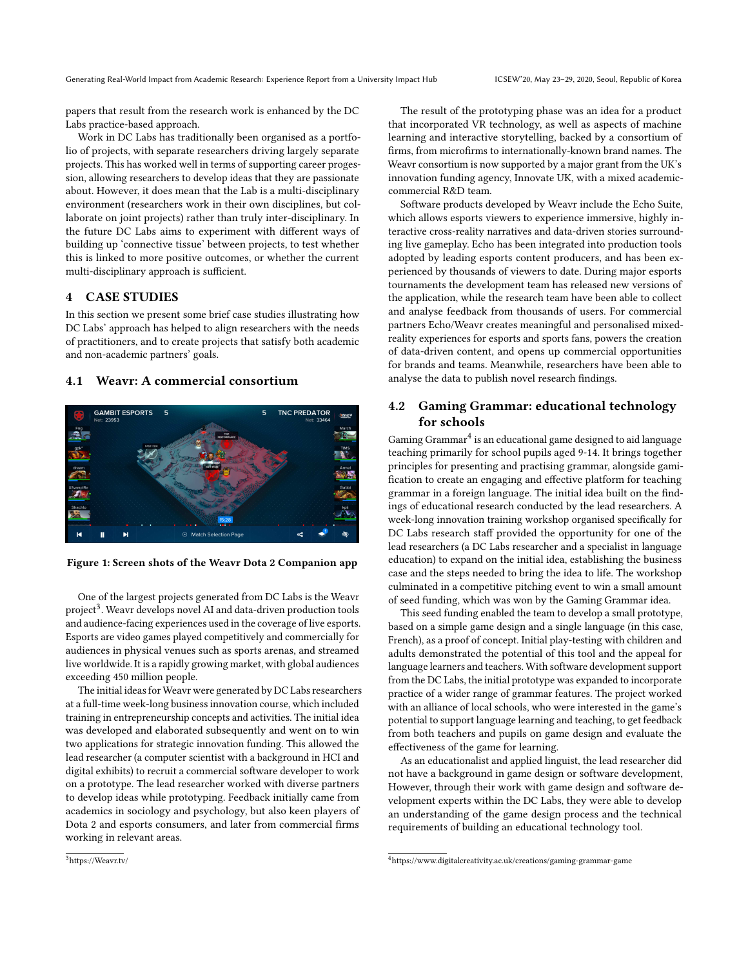papers that result from the research work is enhanced by the DC Labs practice-based approach.

Work in DC Labs has traditionally been organised as a portfolio of projects, with separate researchers driving largely separate projects. This has worked well in terms of supporting career progession, allowing researchers to develop ideas that they are passionate about. However, it does mean that the Lab is a multi-disciplinary environment (researchers work in their own disciplines, but collaborate on joint projects) rather than truly inter-disciplinary. In the future DC Labs aims to experiment with different ways of building up 'connective tissue' between projects, to test whether this is linked to more positive outcomes, or whether the current multi-disciplinary approach is sufficient.

## 4 CASE STUDIES

In this section we present some brief case studies illustrating how DC Labs' approach has helped to align researchers with the needs of practitioners, and to create projects that satisfy both academic and non-academic partners' goals.

#### 4.1 Weavr: A commercial consortium



Figure 1: Screen shots of the Weavr Dota 2 Companion app

One of the largest projects generated from DC Labs is the Weavr project<sup>3</sup>. Weavr develops novel AI and data-driven production tools and audience-facing experiences used in the coverage of live esports. Esports are video games played competitively and commercially for audiences in physical venues such as sports arenas, and streamed live worldwide. It is a rapidly growing market, with global audiences exceeding 450 million people.

The initial ideas for Weavr were generated by DC Labs researchers at a full-time week-long business innovation course, which included training in entrepreneurship concepts and activities. The initial idea was developed and elaborated subsequently and went on to win two applications for strategic innovation funding. This allowed the lead researcher (a computer scientist with a background in HCI and digital exhibits) to recruit a commercial software developer to work on a prototype. The lead researcher worked with diverse partners to develop ideas while prototyping. Feedback initially came from academics in sociology and psychology, but also keen players of Dota 2 and esports consumers, and later from commercial firms working in relevant areas.

The result of the prototyping phase was an idea for a product that incorporated VR technology, as well as aspects of machine learning and interactive storytelling, backed by a consortium of firms, from microfirms to internationally-known brand names. The Weavr consortium is now supported by a major grant from the UK's innovation funding agency, Innovate UK, with a mixed academiccommercial R&D team.

Software products developed by Weavr include the Echo Suite, which allows esports viewers to experience immersive, highly interactive cross-reality narratives and data-driven stories surrounding live gameplay. Echo has been integrated into production tools adopted by leading esports content producers, and has been experienced by thousands of viewers to date. During major esports tournaments the development team has released new versions of the application, while the research team have been able to collect and analyse feedback from thousands of users. For commercial partners Echo/Weavr creates meaningful and personalised mixedreality experiences for esports and sports fans, powers the creation of data-driven content, and opens up commercial opportunities for brands and teams. Meanwhile, researchers have been able to analyse the data to publish novel research findings.

## 4.2 Gaming Grammar: educational technology for schools

Gaming Grammar $^4$  is an educational game designed to aid language teaching primarily for school pupils aged 9-14. It brings together principles for presenting and practising grammar, alongside gamification to create an engaging and effective platform for teaching grammar in a foreign language. The initial idea built on the findings of educational research conducted by the lead researchers. A week-long innovation training workshop organised specifically for DC Labs research staff provided the opportunity for one of the lead researchers (a DC Labs researcher and a specialist in language education) to expand on the initial idea, establishing the business case and the steps needed to bring the idea to life. The workshop culminated in a competitive pitching event to win a small amount of seed funding, which was won by the Gaming Grammar idea.

This seed funding enabled the team to develop a small prototype, based on a simple game design and a single language (in this case, French), as a proof of concept. Initial play-testing with children and adults demonstrated the potential of this tool and the appeal for language learners and teachers. With software development support from the DC Labs, the initial prototype was expanded to incorporate practice of a wider range of grammar features. The project worked with an alliance of local schools, who were interested in the game's potential to support language learning and teaching, to get feedback from both teachers and pupils on game design and evaluate the effectiveness of the game for learning.

As an educationalist and applied linguist, the lead researcher did not have a background in game design or software development, However, through their work with game design and software development experts within the DC Labs, they were able to develop an understanding of the game design process and the technical requirements of building an educational technology tool.

<sup>4</sup>https://www.digitalcreativity.ac.uk/creations/gaming-grammar-game

<sup>3</sup>https://Weavr.tv/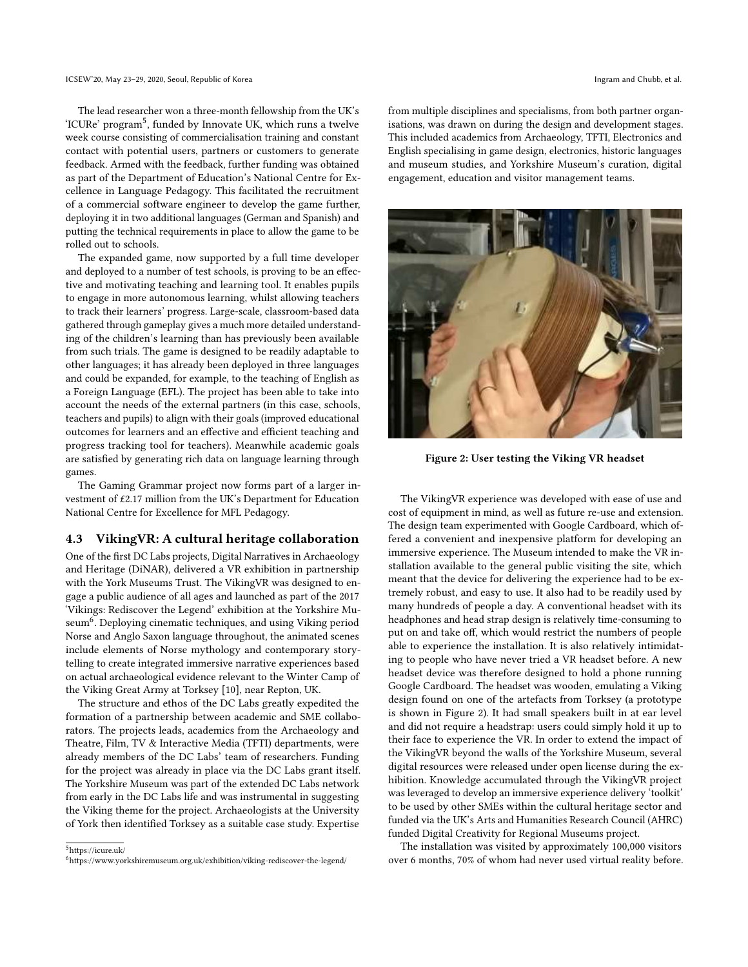The lead researcher won a three-month fellowship from the UK's 'ICURe' program<sup>5</sup>, funded by Innovate UK, which runs a twelve week course consisting of commercialisation training and constant contact with potential users, partners or customers to generate feedback. Armed with the feedback, further funding was obtained as part of the Department of Education's National Centre for Excellence in Language Pedagogy. This facilitated the recruitment of a commercial software engineer to develop the game further, deploying it in two additional languages (German and Spanish) and putting the technical requirements in place to allow the game to be rolled out to schools.

The expanded game, now supported by a full time developer and deployed to a number of test schools, is proving to be an effective and motivating teaching and learning tool. It enables pupils to engage in more autonomous learning, whilst allowing teachers to track their learners' progress. Large-scale, classroom-based data gathered through gameplay gives a much more detailed understanding of the children's learning than has previously been available from such trials. The game is designed to be readily adaptable to other languages; it has already been deployed in three languages and could be expanded, for example, to the teaching of English as a Foreign Language (EFL). The project has been able to take into account the needs of the external partners (in this case, schools, teachers and pupils) to align with their goals (improved educational outcomes for learners and an effective and efficient teaching and progress tracking tool for teachers). Meanwhile academic goals are satisfied by generating rich data on language learning through games.

The Gaming Grammar project now forms part of a larger investment of £2.17 million from the UK's Department for Education National Centre for Excellence for MFL Pedagogy.

## 4.3 VikingVR: A cultural heritage collaboration

One of the first DC Labs projects, Digital Narratives in Archaeology and Heritage (DiNAR), delivered a VR exhibition in partnership with the York Museums Trust. The VikingVR was designed to engage a public audience of all ages and launched as part of the 2017 'Vikings: Rediscover the Legend' exhibition at the Yorkshire Museum<sup>6</sup>. Deploying cinematic techniques, and using Viking period Norse and Anglo Saxon language throughout, the animated scenes include elements of Norse mythology and contemporary storytelling to create integrated immersive narrative experiences based on actual archaeological evidence relevant to the Winter Camp of the Viking Great Army at Torksey [10], near Repton, UK.

The structure and ethos of the DC Labs greatly expedited the formation of a partnership between academic and SME collaborators. The projects leads, academics from the Archaeology and Theatre, Film, TV & Interactive Media (TFTI) departments, were already members of the DC Labs' team of researchers. Funding for the project was already in place via the DC Labs grant itself. The Yorkshire Museum was part of the extended DC Labs network from early in the DC Labs life and was instrumental in suggesting the Viking theme for the project. Archaeologists at the University of York then identified Torksey as a suitable case study. Expertise

<sup>5</sup>https://icure.uk/ <sup>6</sup>https://www.yorkshiremuseum.org.uk/exhibition/viking-rediscover-the-legend/ from multiple disciplines and specialisms, from both partner organisations, was drawn on during the design and development stages. This included academics from Archaeology, TFTI, Electronics and English specialising in game design, electronics, historic languages and museum studies, and Yorkshire Museum's curation, digital engagement, education and visitor management teams.



Figure 2: User testing the Viking VR headset

The VikingVR experience was developed with ease of use and cost of equipment in mind, as well as future re-use and extension. The design team experimented with Google Cardboard, which offered a convenient and inexpensive platform for developing an immersive experience. The Museum intended to make the VR installation available to the general public visiting the site, which meant that the device for delivering the experience had to be extremely robust, and easy to use. It also had to be readily used by many hundreds of people a day. A conventional headset with its headphones and head strap design is relatively time-consuming to put on and take off, which would restrict the numbers of people able to experience the installation. It is also relatively intimidating to people who have never tried a VR headset before. A new headset device was therefore designed to hold a phone running Google Cardboard. The headset was wooden, emulating a Viking design found on one of the artefacts from Torksey (a prototype is shown in Figure 2). It had small speakers built in at ear level and did not require a headstrap: users could simply hold it up to their face to experience the VR. In order to extend the impact of the VikingVR beyond the walls of the Yorkshire Museum, several digital resources were released under open license during the exhibition. Knowledge accumulated through the VikingVR project was leveraged to develop an immersive experience delivery 'toolkit' to be used by other SMEs within the cultural heritage sector and funded via the UK's Arts and Humanities Research Council (AHRC) funded Digital Creativity for Regional Museums project.

The installation was visited by approximately 100,000 visitors over 6 months, 70% of whom had never used virtual reality before.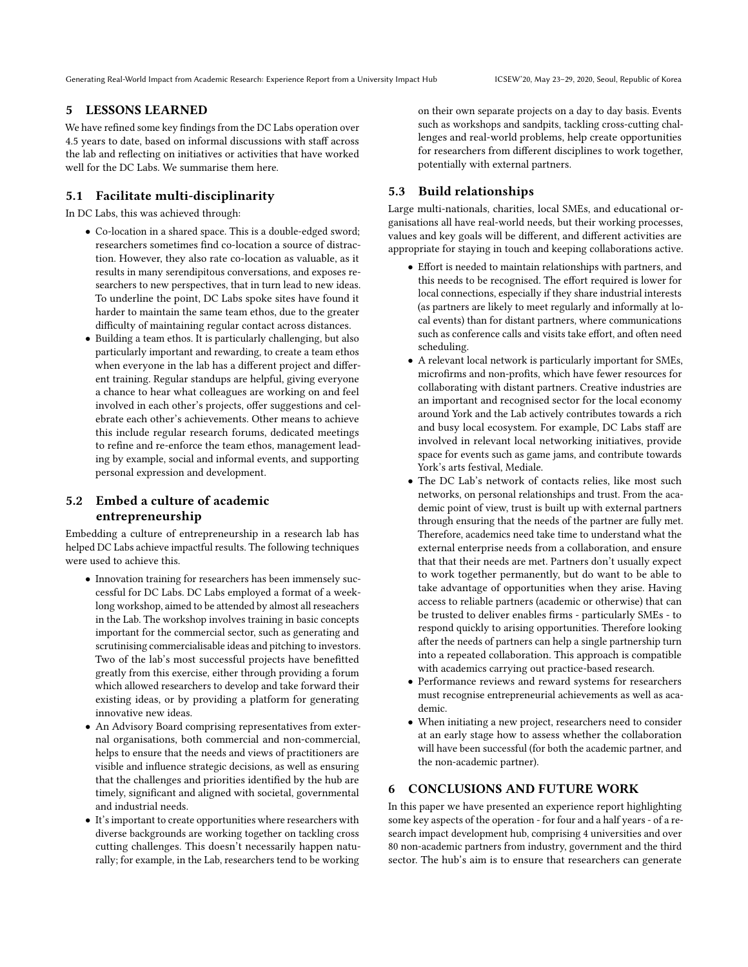Generating Real-World Impact from Academic Research: Experience Report from a University Impact Hub ICSEW'20, May 23–29, 2020, Seoul, Republic of Korea

### 5 LESSONS LEARNED

We have refined some key findings from the DC Labs operation over 4.5 years to date, based on informal discussions with staff across the lab and reflecting on initiatives or activities that have worked well for the DC Labs. We summarise them here.

## 5.1 Facilitate multi-disciplinarity

In DC Labs, this was achieved through:

- Co-location in a shared space. This is a double-edged sword; researchers sometimes find co-location a source of distraction. However, they also rate co-location as valuable, as it results in many serendipitous conversations, and exposes researchers to new perspectives, that in turn lead to new ideas. To underline the point, DC Labs spoke sites have found it harder to maintain the same team ethos, due to the greater difficulty of maintaining regular contact across distances.
- Building a team ethos. It is particularly challenging, but also particularly important and rewarding, to create a team ethos when everyone in the lab has a different project and different training. Regular standups are helpful, giving everyone a chance to hear what colleagues are working on and feel involved in each other's projects, offer suggestions and celebrate each other's achievements. Other means to achieve this include regular research forums, dedicated meetings to refine and re-enforce the team ethos, management leading by example, social and informal events, and supporting personal expression and development.

## 5.2 Embed a culture of academic entrepreneurship

Embedding a culture of entrepreneurship in a research lab has helped DC Labs achieve impactful results. The following techniques were used to achieve this.

- Innovation training for researchers has been immensely successful for DC Labs. DC Labs employed a format of a weeklong workshop, aimed to be attended by almost all reseachers in the Lab. The workshop involves training in basic concepts important for the commercial sector, such as generating and scrutinising commercialisable ideas and pitching to investors. Two of the lab's most successful projects have benefitted greatly from this exercise, either through providing a forum which allowed researchers to develop and take forward their existing ideas, or by providing a platform for generating innovative new ideas.
- An Advisory Board comprising representatives from external organisations, both commercial and non-commercial, helps to ensure that the needs and views of practitioners are visible and influence strategic decisions, as well as ensuring that the challenges and priorities identified by the hub are timely, significant and aligned with societal, governmental and industrial needs.
- It's important to create opportunities where researchers with diverse backgrounds are working together on tackling cross cutting challenges. This doesn't necessarily happen naturally; for example, in the Lab, researchers tend to be working

on their own separate projects on a day to day basis. Events such as workshops and sandpits, tackling cross-cutting challenges and real-world problems, help create opportunities for researchers from different disciplines to work together, potentially with external partners.

## 5.3 Build relationships

Large multi-nationals, charities, local SMEs, and educational organisations all have real-world needs, but their working processes, values and key goals will be different, and different activities are appropriate for staying in touch and keeping collaborations active.

- Effort is needed to maintain relationships with partners, and this needs to be recognised. The effort required is lower for local connections, especially if they share industrial interests (as partners are likely to meet regularly and informally at local events) than for distant partners, where communications such as conference calls and visits take effort, and often need scheduling.
- A relevant local network is particularly important for SMEs, microfirms and non-profits, which have fewer resources for collaborating with distant partners. Creative industries are an important and recognised sector for the local economy around York and the Lab actively contributes towards a rich and busy local ecosystem. For example, DC Labs staff are involved in relevant local networking initiatives, provide space for events such as game jams, and contribute towards York's arts festival, Mediale.
- The DC Lab's network of contacts relies, like most such networks, on personal relationships and trust. From the academic point of view, trust is built up with external partners through ensuring that the needs of the partner are fully met. Therefore, academics need take time to understand what the external enterprise needs from a collaboration, and ensure that that their needs are met. Partners don't usually expect to work together permanently, but do want to be able to take advantage of opportunities when they arise. Having access to reliable partners (academic or otherwise) that can be trusted to deliver enables firms - particularly SMEs - to respond quickly to arising opportunities. Therefore looking after the needs of partners can help a single partnership turn into a repeated collaboration. This approach is compatible with academics carrying out practice-based research.
- Performance reviews and reward systems for researchers must recognise entrepreneurial achievements as well as academic.
- When initiating a new project, researchers need to consider at an early stage how to assess whether the collaboration will have been successful (for both the academic partner, and the non-academic partner).

### 6 CONCLUSIONS AND FUTURE WORK

In this paper we have presented an experience report highlighting some key aspects of the operation - for four and a half years - of a research impact development hub, comprising 4 universities and over 80 non-academic partners from industry, government and the third sector. The hub's aim is to ensure that researchers can generate